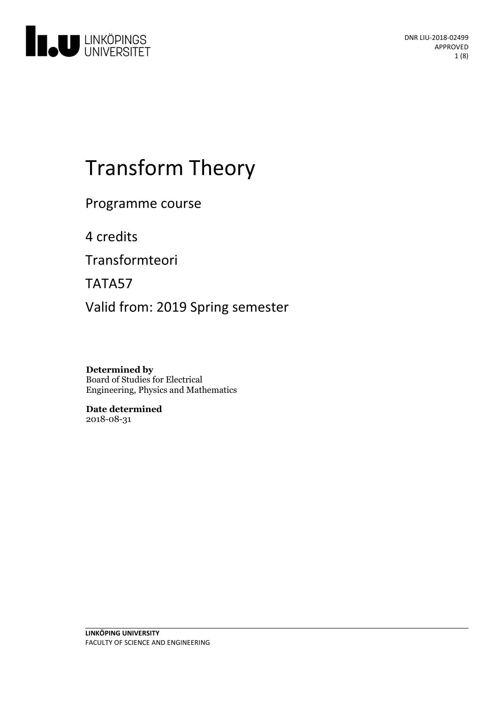

# Transform Theory

Programme course

4 credits

Transformteori

TATA57

Valid from: 2019 Spring semester

**Determined by** Board of Studies for Electrical Engineering, Physics and Mathematics

**Date determined** 2018-08-31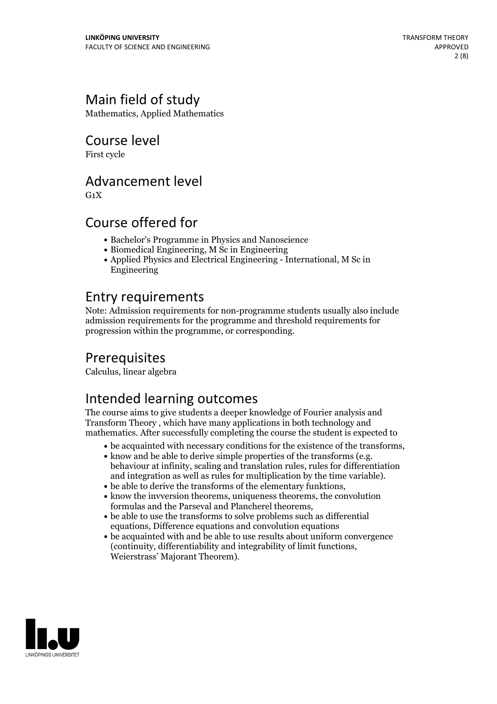# Main field of study

Mathematics, Applied Mathematics

Course level

First cycle

### Advancement level

 $G_1X$ 

## Course offered for

- Bachelor's Programme in Physics and Nanoscience
- Biomedical Engineering, M Sc in Engineering
- Applied Physics and Electrical Engineering International, M Sc in Engineering

## Entry requirements

Note: Admission requirements for non-programme students usually also include admission requirements for the programme and threshold requirements for progression within the programme, or corresponding.

# Prerequisites

Calculus, linear algebra

# Intended learning outcomes

The course aims to give students a deeper knowledge of Fourier analysis and Transform Theory , which have many applications in both technology and mathematics. After successfully completing the course the student is expected to

- 
- be acquainted with necessary conditions for the existence of the transforms,<br>• know and be able to derive simple properties of the transforms (e.g.<br>behaviour at infinity, scaling and translation rules, rules for differen and integration as well as rules for multiplication by the time variable). <br>  $\bullet$  be able to derive the transforms of the elementary funktions,<br> $\bullet$  know the invversion theorems, uniqueness theorems, the convolution
- 
- 
- formulas and the Parseval and Plancherel theorems,<br>• be able to use the transforms to solve problems such as differential equations, Difference equations and convolution equations
- be acquainted with and be able to use results about uniform convergence (continuity, differentiability and integrability of limit functions, Weierstrass' Majorant Theorem).

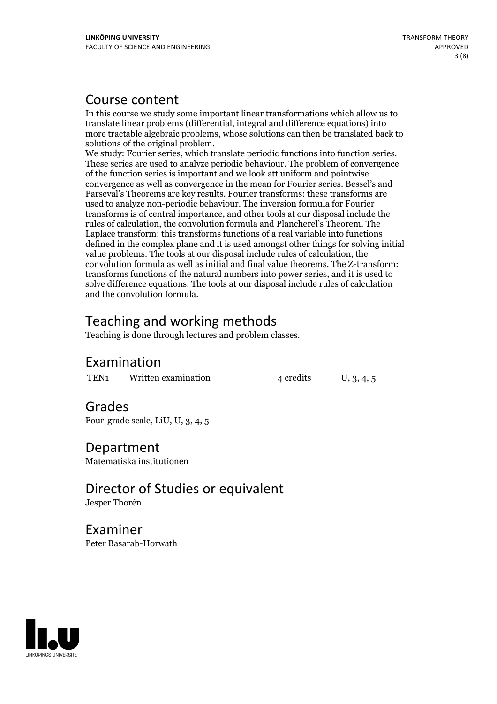### Course content

In this course we study some important linear transformations which allow us to translate linear problems (differential, integral and difference equations) into more tractable algebraic problems, whose solutions can then be translated back to

solutions of the original problem. We study: Fourier series, which translate periodic functions into function series. These series are used to analyze periodic behaviour. The problem of convergence of the function series is important and we look attuniform and pointwise convergence as well as convergence in the mean for Fourier series. Bessel's and Parseval's Theorems are key results. Fourier transforms: these transforms are used to analyze non-periodic behaviour. The inversion formula for Fourier transforms is of central importance, and other tools at our disposal include the rules of calculation, the convolution formula and Plancherel's Theorem. The Laplace transform: this transforms functions of a real variable into functions defined in the complex plane and it is used amongst other things for solving initial value problems. The tools at our disposal include rules of calculation, the convolution formula as well as initial and final value theorems. The Z-transform: transforms functions of the natural numbers into power series, and it is used to solve difference equations. The tools at our disposal include rules of calculation and the convolution formula.

# Teaching and working methods

Teaching is done through lectures and problem classes.

### Examination

TEN<sub>1</sub> Written examination  $4$  credits  $U$ ,  $3$ ,  $4$ ,  $5$ 

# Grades

Four-grade scale, LiU, U, 3, 4, 5

Department Matematiska institutionen

Director of Studies or equivalent Jesper Thorén

Examiner Peter Basarab-Horwath

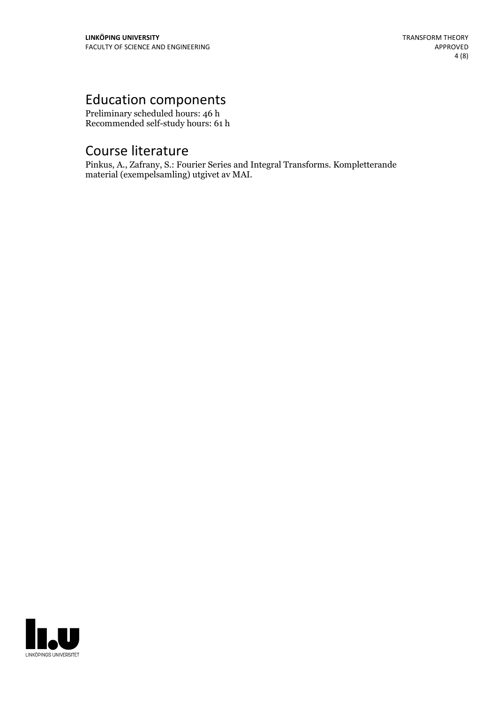# Education components

Preliminary scheduled hours: 46 h Recommended self-study hours: 61 h

# Course literature

Pinkus, A., Zafrany, S.: Fourier Series and Integral Transforms. Kompletterande material (exempelsamling) utgivet av MAI.

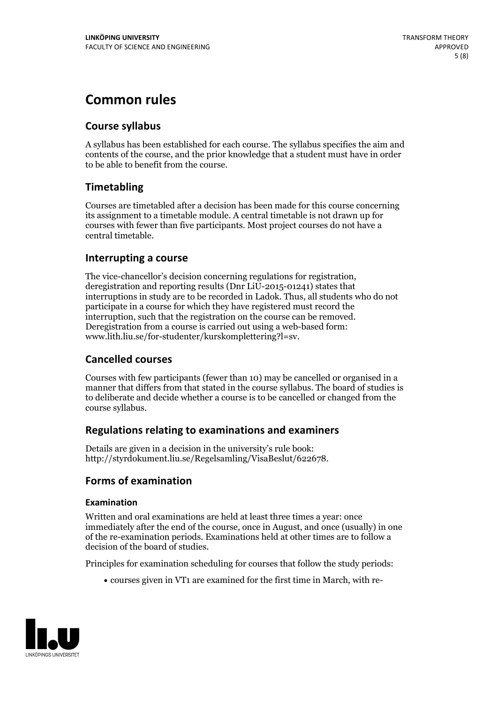# **Common rules**

### **Course syllabus**

A syllabus has been established for each course. The syllabus specifies the aim and contents of the course, and the prior knowledge that a student must have in order to be able to benefit from the course.

### **Timetabling**

Courses are timetabled after a decision has been made for this course concerning its assignment to a timetable module. A central timetable is not drawn up for courses with fewer than five participants. Most project courses do not have a central timetable.

### **Interrupting a course**

The vice-chancellor's decision concerning regulations for registration, deregistration and reporting results (Dnr LiU-2015-01241) states that interruptions in study are to be recorded in Ladok. Thus, all students who do not participate in a course for which they have registered must record the interruption, such that the registration on the course can be removed. Deregistration from <sup>a</sup> course is carried outusing <sup>a</sup> web-based form: www.lith.liu.se/for-studenter/kurskomplettering?l=sv.

### **Cancelled courses**

Courses with few participants (fewer than 10) may be cancelled or organised in a manner that differs from that stated in the course syllabus. The board of studies is to deliberate and decide whether a course is to be cancelled orchanged from the course syllabus.

### **Regulations relatingto examinations and examiners**

Details are given in a decision in the university's rule book: http://styrdokument.liu.se/Regelsamling/VisaBeslut/622678.

### **Forms of examination**

### **Examination**

Written and oral examinations are held at least three times a year: once immediately after the end of the course, once in August, and once (usually) in one of the re-examination periods. Examinations held at other times are to follow a decision of the board of studies.

Principles for examination scheduling for courses that follow the study periods:

courses given in VT1 are examined for the first time in March, with re-

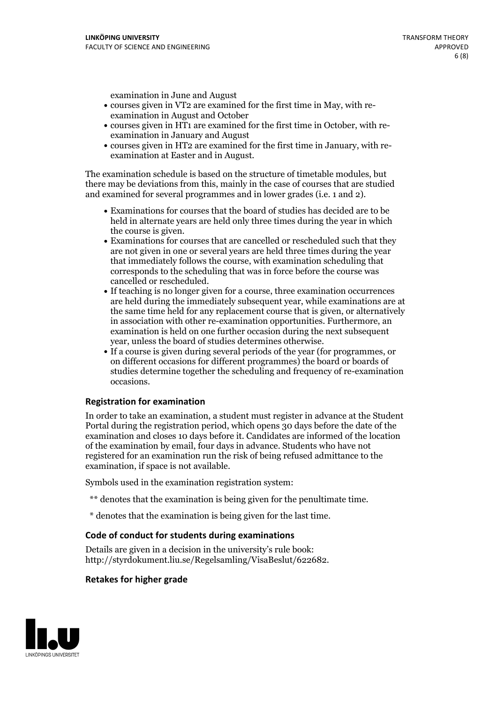examination in June and August

- courses given in VT2 are examined for the first time in May, with re-examination in August and October
- courses given in HT1 are examined for the first time in October, with re-examination in January and August
- courses given in HT2 are examined for the first time in January, with re-examination at Easter and in August.

The examination schedule is based on the structure of timetable modules, but there may be deviations from this, mainly in the case of courses that are studied and examined for several programmes and in lower grades (i.e. 1 and 2).

- Examinations for courses that the board of studies has decided are to be held in alternate years are held only three times during the year in which
- the course is given.<br>• Examinations for courses that are cancelled or rescheduled such that they are not given in one or several years are held three times during the year that immediately follows the course, with examination scheduling that corresponds to the scheduling that was in force before the course was cancelled or rescheduled.<br>• If teaching is no longer given for a course, three examination occurrences
- are held during the immediately subsequent year, while examinations are at the same time held for any replacement course that is given, or alternatively in association with other re-examination opportunities. Furthermore, an examination is held on one further occasion during the next subsequent year, unless the board of studies determines otherwise.<br>• If a course is given during several periods of the year (for programmes, or
- on different occasions for different programmes) the board orboards of studies determine together the scheduling and frequency of re-examination occasions.

#### **Registration for examination**

In order to take an examination, a student must register in advance at the Student Portal during the registration period, which opens 30 days before the date of the examination and closes 10 days before it. Candidates are informed of the location of the examination by email, four days in advance. Students who have not registered for an examination run the risk of being refused admittance to the examination, if space is not available.

Symbols used in the examination registration system:

- \*\* denotes that the examination is being given for the penultimate time.
- \* denotes that the examination is being given for the last time.

#### **Code of conduct for students during examinations**

Details are given in a decision in the university's rule book: http://styrdokument.liu.se/Regelsamling/VisaBeslut/622682.

#### **Retakes for higher grade**

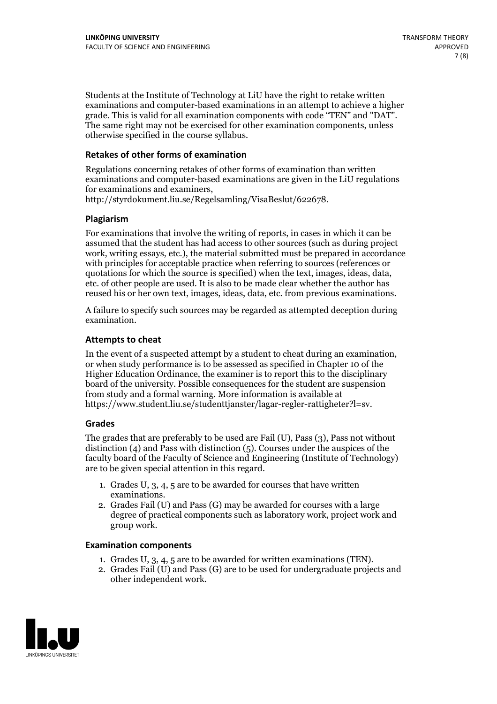Students at the Institute of Technology at LiU have the right to retake written examinations and computer-based examinations in an attempt to achieve a higher grade. This is valid for all examination components with code "TEN" and "DAT". The same right may not be exercised for other examination components, unless otherwise specified in the course syllabus.

### **Retakes of other forms of examination**

Regulations concerning retakes of other forms of examination than written examinations and computer-based examinations are given in the LiU regulations for examinations and examiners, http://styrdokument.liu.se/Regelsamling/VisaBeslut/622678.

#### **Plagiarism**

For examinations that involve the writing of reports, in cases in which it can be assumed that the student has had access to other sources (such as during project work, writing essays, etc.), the material submitted must be prepared in accordance with principles for acceptable practice when referring to sources (references or quotations for which the source is specified) when the text, images, ideas, data, etc. of other people are used. It is also to be made clear whether the author has reused his or her own text, images, ideas, data, etc. from previous examinations.

A failure to specify such sources may be regarded as attempted deception during examination.

#### **Attempts to cheat**

In the event of <sup>a</sup> suspected attempt by <sup>a</sup> student to cheat during an examination, or when study performance is to be assessed as specified in Chapter <sup>10</sup> of the Higher Education Ordinance, the examiner is to report this to the disciplinary board of the university. Possible consequences for the student are suspension from study and a formal warning. More information is available at https://www.student.liu.se/studenttjanster/lagar-regler-rattigheter?l=sv.

#### **Grades**

The grades that are preferably to be used are Fail (U), Pass (3), Pass not without distinction  $(4)$  and Pass with distinction  $(5)$ . Courses under the auspices of the faculty board of the Faculty of Science and Engineering (Institute of Technology) are to be given special attention in this regard.

- 1. Grades U, 3, 4, 5 are to be awarded for courses that have written
- examinations. 2. Grades Fail (U) and Pass (G) may be awarded for courses with <sup>a</sup> large degree of practical components such as laboratory work, project work and group work.

#### **Examination components**

- 
- 1. Grades U, 3, 4, <sup>5</sup> are to be awarded for written examinations (TEN). 2. Grades Fail (U) and Pass (G) are to be used for undergraduate projects and other independent work.